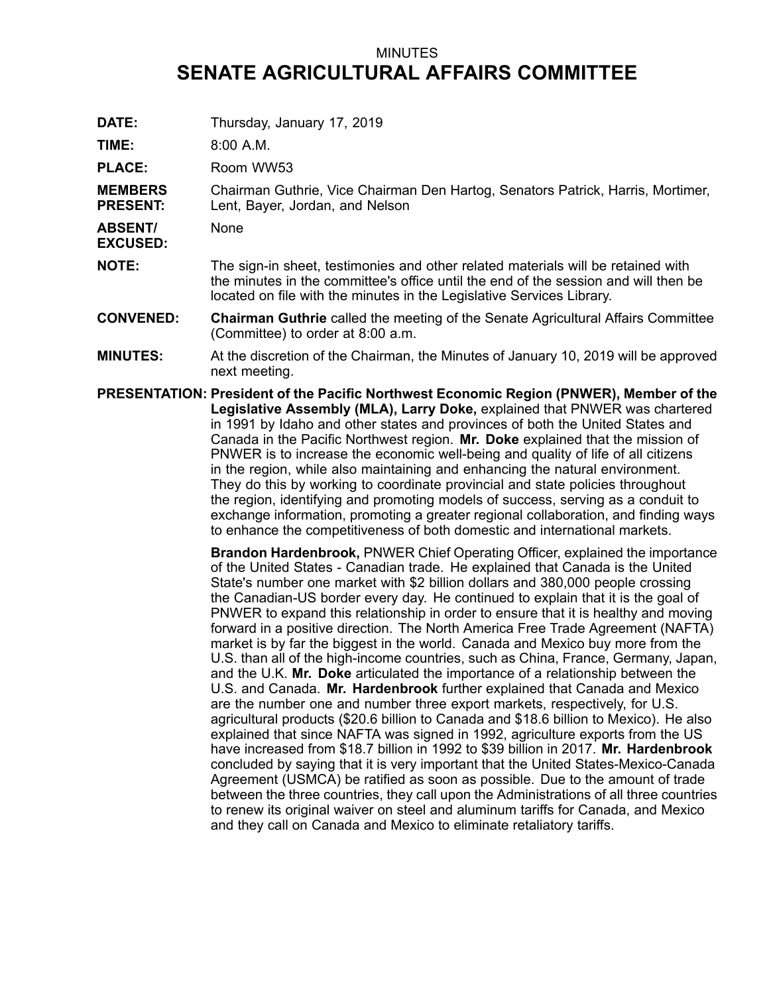## MINUTES **SENATE AGRICULTURAL AFFAIRS COMMITTEE**

**DATE:** Thursday, January 17, 2019

**TIME:** 8:00 A.M.

PLACE: Room WW53

**MEMBERS PRESENT:** Chairman Guthrie, Vice Chairman Den Hartog, Senators Patrick, Harris, Mortimer, Lent, Bayer, Jordan, and Nelson

**ABSENT/** None

**EXCUSED:**

- **NOTE:** The sign-in sheet, testimonies and other related materials will be retained with the minutes in the committee's office until the end of the session and will then be located on file with the minutes in the Legislative Services Library.
- **CONVENED: Chairman Guthrie** called the meeting of the Senate Agricultural Affairs Committee (Committee) to order at 8:00 a.m.
- **MINUTES:** At the discretion of the Chairman, the Minutes of January 10, 2019 will be approved next meeting.
- **PRESENTATION: President of the Pacific Northwest Economic Region (PNWER), Member of the Legislative Assembly (MLA), Larry Doke,** explained that PNWER was chartered in 1991 by Idaho and other states and provinces of both the United States and Canada in the Pacific Northwest region. **Mr. Doke** explained that the mission of PNWER is to increase the economic well-being and quality of life of all citizens in the region, while also maintaining and enhancing the natural environment. They do this by working to coordinate provincial and state policies throughout the region, identifying and promoting models of success, serving as <sup>a</sup> conduit to exchange information, promoting <sup>a</sup> greater regional collaboration, and finding ways to enhance the competitiveness of both domestic and international markets.

**Brandon Hardenbrook,** PNWER Chief Operating Officer, explained the importance of the United States - Canadian trade. He explained that Canada is the United State's number one market with \$2 billion dollars and 380,000 people crossing the Canadian-US border every day. He continued to explain that it is the goal of PNWER to expand this relationship in order to ensure that it is healthy and moving forward in <sup>a</sup> positive direction. The North America Free Trade Agreement (NAFTA) market is by far the biggest in the world. Canada and Mexico buy more from the U.S. than all of the high-income countries, such as China, France, Germany, Japan, and the U.K. **Mr. Doke** articulated the importance of <sup>a</sup> relationship between the U.S. and Canada. **Mr. Hardenbrook** further explained that Canada and Mexico are the number one and number three export markets, respectively, for U.S. agricultural products (\$20.6 billion to Canada and \$18.6 billion to Mexico). He also explained that since NAFTA was signed in 1992, agriculture exports from the US have increased from \$18.7 billion in 1992 to \$39 billion in 2017. **Mr. Hardenbrook** concluded by saying that it is very important that the United States-Mexico-Canada Agreement (USMCA) be ratified as soon as possible. Due to the amount of trade between the three countries, they call upon the Administrations of all three countries to renew its original waiver on steel and aluminum tariffs for Canada, and Mexico and they call on Canada and Mexico to eliminate retaliatory tariffs.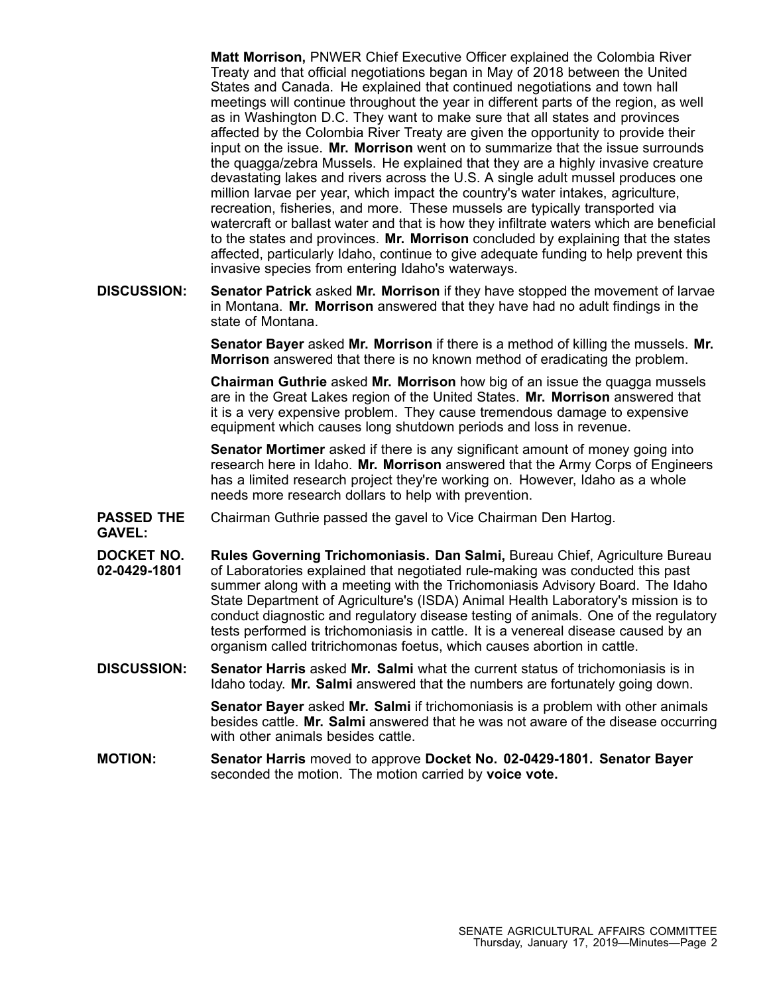**Matt Morrison,** PNWER Chief Executive Officer explained the Colombia River Treaty and that official negotiations began in May of 2018 between the United States and Canada. He explained that continued negotiations and town hall meetings will continue throughout the year in different parts of the region, as well as in Washington D.C. They want to make sure that all states and provinces affected by the Colombia River Treaty are given the opportunity to provide their input on the issue. **Mr. Morrison** went on to summarize that the issue surrounds the quagga/zebra Mussels. He explained that they are <sup>a</sup> highly invasive creature devastating lakes and rivers across the U.S. A single adult mussel produces one million larvae per year, which impact the country's water intakes, agriculture, recreation, fisheries, and more. These mussels are typically transported via watercraft or ballast water and that is how they infiltrate waters which are beneficial to the states and provinces. **Mr. Morrison** concluded by explaining that the states affected, particularly Idaho, continue to give adequate funding to help prevent this invasive species from entering Idaho's waterways.

**DISCUSSION: Senator Patrick** asked **Mr. Morrison** if they have stopped the movement of larvae in Montana. **Mr. Morrison** answered that they have had no adult findings in the state of Montana.

> **Senator Bayer** asked **Mr. Morrison** if there is <sup>a</sup> method of killing the mussels. **Mr. Morrison** answered that there is no known method of eradicating the problem.

**Chairman Guthrie** asked **Mr. Morrison** how big of an issue the quagga mussels are in the Great Lakes region of the United States. **Mr. Morrison** answered that it is <sup>a</sup> very expensive problem. They cause tremendous damage to expensive equipment which causes long shutdown periods and loss in revenue.

**Senator Mortimer** asked if there is any significant amount of money going into research here in Idaho. **Mr. Morrison** answered that the Army Corps of Engineers has <sup>a</sup> limited research project they're working on. However, Idaho as <sup>a</sup> whole needs more research dollars to help with prevention.

- **PASSED THE GAVEL:** Chairman Guthrie passed the gavel to Vice Chairman Den Hartog.
- **DOCKET NO. 02-0429-1801 Rules Governing Trichomoniasis. Dan Salmi,** Bureau Chief, Agriculture Bureau of Laboratories explained that negotiated rule-making was conducted this past summer along with <sup>a</sup> meeting with the Trichomoniasis Advisory Board. The Idaho State Department of Agriculture's (ISDA) Animal Health Laboratory's mission is to conduct diagnostic and regulatory disease testing of animals. One of the regulatory tests performed is trichomoniasis in cattle. It is <sup>a</sup> venereal disease caused by an organism called tritrichomonas foetus, which causes abortion in cattle.
- **DISCUSSION: Senator Harris** asked **Mr. Salmi** what the current status of trichomoniasis is in Idaho today. **Mr. Salmi** answered that the numbers are fortunately going down.

**Senator Bayer** asked **Mr. Salmi** if trichomoniasis is <sup>a</sup> problem with other animals besides cattle. **Mr. Salmi** answered that he was not aware of the disease occurring with other animals besides cattle.

**MOTION: Senator Harris** moved to approve **Docket No. 02-0429-1801. Senator Bayer** seconded the motion. The motion carried by **voice vote.**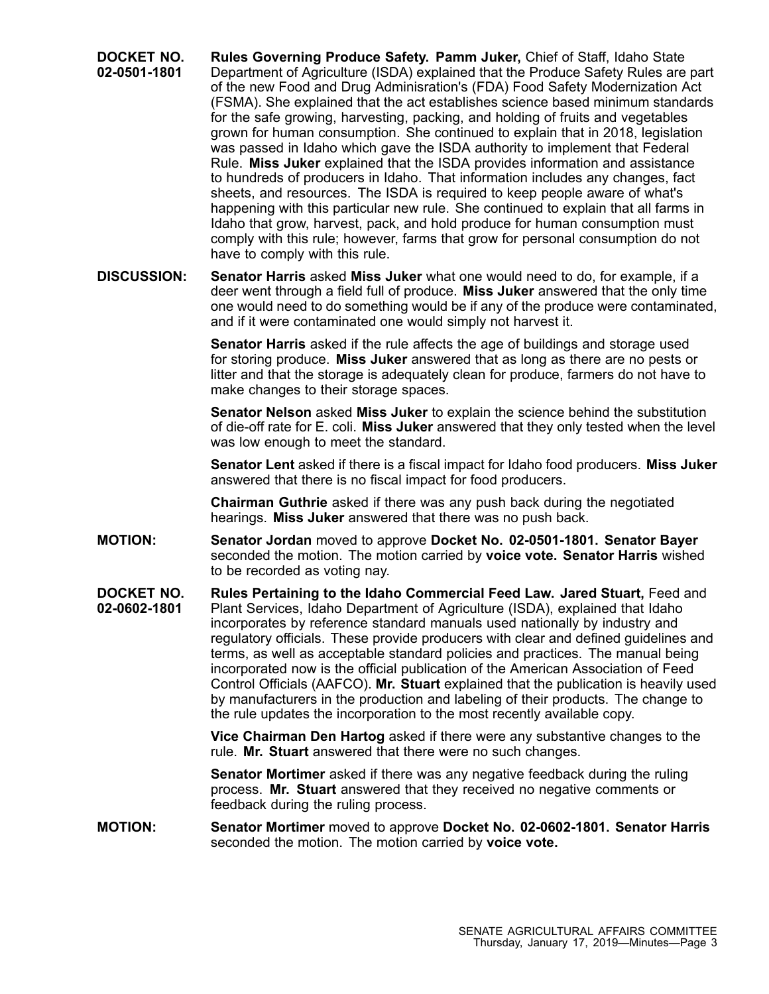- **DOCKET NO. 02-0501-1801 Rules Governing Produce Safety. Pamm Juker,** Chief of Staff, Idaho State Department of Agriculture (ISDA) explained that the Produce Safety Rules are part of the new Food and Drug Adminisration's (FDA) Food Safety Modernization Act (FSMA). She explained that the act establishes science based minimum standards for the safe growing, harvesting, packing, and holding of fruits and vegetables grown for human consumption. She continued to explain that in 2018, legislation was passed in Idaho which gave the ISDA authority to implement that Federal Rule. **Miss Juker** explained that the ISDA provides information and assistance to hundreds of producers in Idaho. That information includes any changes, fact sheets, and resources. The ISDA is required to keep people aware of what's happening with this particular new rule. She continued to explain that all farms in Idaho that grow, harvest, pack, and hold produce for human consumption must comply with this rule; however, farms that grow for personal consumption do not have to comply with this rule.
- **DISCUSSION: Senator Harris** asked **Miss Juker** what one would need to do, for example, if <sup>a</sup> deer went through <sup>a</sup> field full of produce. **Miss Juker** answered that the only time one would need to do something would be if any of the produce were contaminated, and if it were contaminated one would simply not harvest it.

**Senator Harris** asked if the rule affects the age of buildings and storage used for storing produce. **Miss Juker** answered that as long as there are no pests or litter and that the storage is adequately clean for produce, farmers do not have to make changes to their storage spaces.

**Senator Nelson** asked **Miss Juker** to explain the science behind the substitution of die-off rate for E. coli. **Miss Juker** answered that they only tested when the level was low enough to meet the standard.

**Senator Lent** asked if there is <sup>a</sup> fiscal impact for Idaho food producers. **Miss Juker** answered that there is no fiscal impact for food producers.

**Chairman Guthrie** asked if there was any push back during the negotiated hearings. **Miss Juker** answered that there was no push back.

- **MOTION: Senator Jordan** moved to approve **Docket No. 02-0501-1801. Senator Bayer** seconded the motion. The motion carried by **voice vote. Senator Harris** wished to be recorded as voting nay.
- **DOCKET NO. 02-0602-1801 Rules Pertaining to the Idaho Commercial Feed Law. Jared Stuart,** Feed and Plant Services, Idaho Department of Agriculture (ISDA), explained that Idaho incorporates by reference standard manuals used nationally by industry and regulatory officials. These provide producers with clear and defined guidelines and terms, as well as acceptable standard policies and practices. The manual being incorporated now is the official publication of the American Association of Feed Control Officials (AAFCO). **Mr. Stuart** explained that the publication is heavily used by manufacturers in the production and labeling of their products. The change to the rule updates the incorporation to the most recently available copy.

**Vice Chairman Den Hartog** asked if there were any substantive changes to the rule. **Mr. Stuart** answered that there were no such changes.

**Senator Mortimer** asked if there was any negative feedback during the ruling process. **Mr. Stuart** answered that they received no negative comments or feedback during the ruling process.

**MOTION: Senator Mortimer** moved to approve **Docket No. 02-0602-1801. Senator Harris** seconded the motion. The motion carried by **voice vote.**